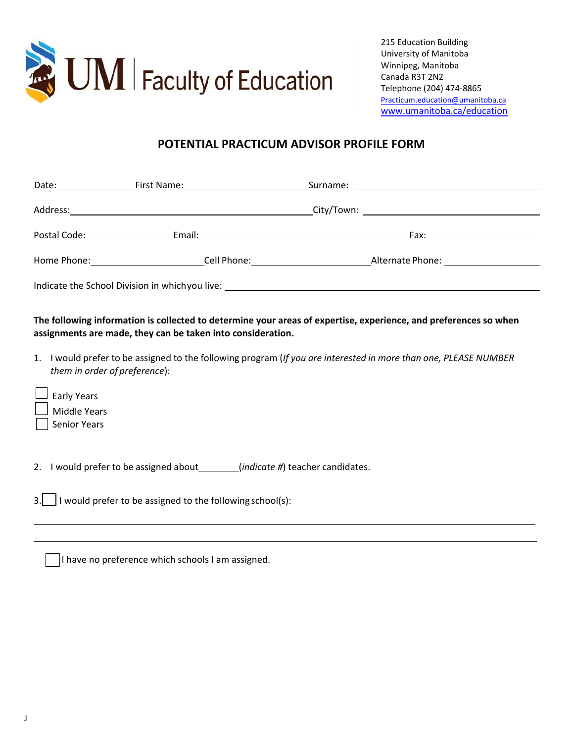

215 Education Building University of Manitoba Winnipeg, Manitoba Canada R3T 2N2 Telephone (204) 474‐8865 Practicum.education@umanitoba.ca www.umanitoba.ca/education

## **POTENTIAL PRACTICUM ADVISOR PROFILE FORM**

| Date: $\frac{1}{\sqrt{1-\frac{1}{2}}}\frac{1}{\sqrt{1-\frac{1}{2}}}\frac{1}{\sqrt{1-\frac{1}{2}}}\frac{1}{\sqrt{1-\frac{1}{2}}}\frac{1}{\sqrt{1-\frac{1}{2}}}\frac{1}{\sqrt{1-\frac{1}{2}}}\frac{1}{\sqrt{1-\frac{1}{2}}}\frac{1}{\sqrt{1-\frac{1}{2}}}\frac{1}{\sqrt{1-\frac{1}{2}}}\frac{1}{\sqrt{1-\frac{1}{2}}}\frac{1}{\sqrt{1-\frac{1}{2}}}\frac{1}{\sqrt{1-\frac{1}{2}}}\frac{1}{\sqrt{1-\frac{1}{2}}}\frac{1}{\$ | First Name: _______________________                                                                                                                                                                                                                                                                                                                                                                                                                                  |                       |  |  |  |
|--------------------------------------------------------------------------------------------------------------------------------------------------------------------------------------------------------------------------------------------------------------------------------------------------------------------------------------------------------------------------------------------------------------------------|----------------------------------------------------------------------------------------------------------------------------------------------------------------------------------------------------------------------------------------------------------------------------------------------------------------------------------------------------------------------------------------------------------------------------------------------------------------------|-----------------------|--|--|--|
|                                                                                                                                                                                                                                                                                                                                                                                                                          |                                                                                                                                                                                                                                                                                                                                                                                                                                                                      |                       |  |  |  |
| Postal Code: The Contract of the Contract of the Contract of the Contract of the Contract of the Contract of the Contract of the Contract of the Contract of the Contract of the Contract of the Contract of the Contract of t                                                                                                                                                                                           |                                                                                                                                                                                                                                                                                                                                                                                                                                                                      |                       |  |  |  |
|                                                                                                                                                                                                                                                                                                                                                                                                                          | Home Phone: The Contract of the Contract of the Contract of the Contract of the Contract of the Contract of the Contract of the Contract of the Contract of the Contract of the Contract of the Contract of the Contract of th<br><b>Cell Phone:</b> The Contract of the Contract of the Contract of the Contract of the Contract of the Contract of the Contract of the Contract of the Contract of the Contract of the Contract of the Contract of the Contract of | Alternate Phone: 1997 |  |  |  |
| Indicate the School Division in which you live: ________________________________                                                                                                                                                                                                                                                                                                                                         |                                                                                                                                                                                                                                                                                                                                                                                                                                                                      |                       |  |  |  |

**The following information is collected to determine your areas of expertise, experience, and preferences so when assignments are made, they can be taken into consideration.** 

- 1. I would prefer to be assigned to the following program (*If you are interested in more than one, PLEASE NUMBER them in order of preference*):
- Middle Years Senior Years Early Years

2. I would prefer to be assigned about (*indicate #*) teacher candidates.

3. I would prefer to be assigned to the following school(s):

|  | I have no preference which schools I am assigned. |  |  |
|--|---------------------------------------------------|--|--|
|  |                                                   |  |  |